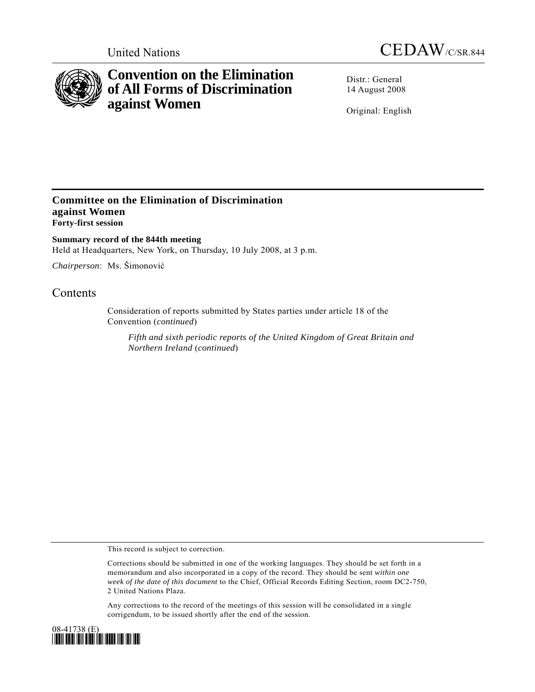



# **Convention on the Elimination of All Forms of Discrimination against Women**

Distr.: General 14 August 2008

Original: English

### **Committee on the Elimination of Discrimination against Women Forty-first session**

**Summary record of the 844th meeting**  Held at Headquarters, New York, on Thursday, 10 July 2008, at 3 p.m.

*Chairperson*: Ms. Šimonović

## **Contents**

Consideration of reports submitted by States parties under article 18 of the Convention (*continued*)

*Fifth and sixth periodic reports of the United Kingdom of Great Britain and Northern Ireland* (*continued*)

This record is subject to correction.

Corrections should be submitted in one of the working languages. They should be set forth in a memorandum and also incorporated in a copy of the record. They should be sent *within one week of the date of this document* to the Chief, Official Records Editing Section, room DC2-750, 2 United Nations Plaza.

Any corrections to the record of the meetings of this session will be consolidated in a single corrigendum, to be issued shortly after the end of the session.

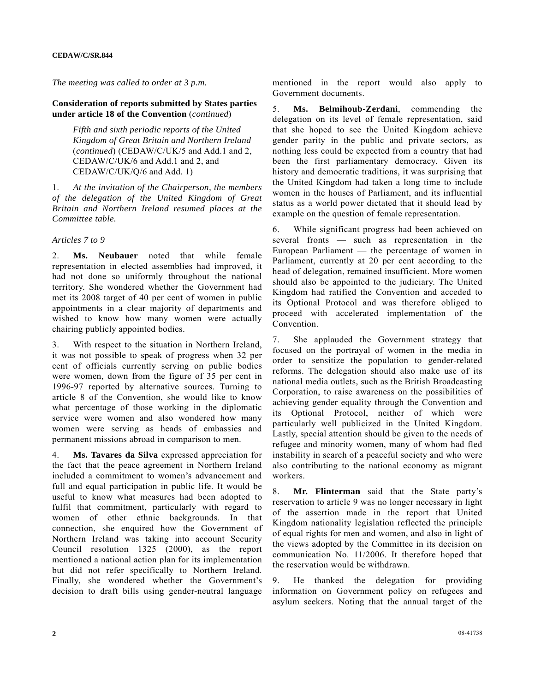*The meeting was called to order at 3 p.m.* 

#### **Consideration of reports submitted by States parties under article 18 of the Convention** (*continued*)

 *Fifth and sixth periodic reports of the United Kingdom of Great Britain and Northern Ireland*  (*continued*) (CEDAW/C/UK/5 and Add.1 and 2, CEDAW/C/UK/6 and Add.1 and 2, and CEDAW/C/UK/Q/6 and Add. 1)

1. *At the invitation of the Chairperson, the members of the delegation of the United Kingdom of Great Britain and Northern Ireland resumed places at the Committee table.* 

#### *Articles 7 to 9*

2. **Ms. Neubauer** noted that while female representation in elected assemblies had improved, it had not done so uniformly throughout the national territory. She wondered whether the Government had met its 2008 target of 40 per cent of women in public appointments in a clear majority of departments and wished to know how many women were actually chairing publicly appointed bodies.

3. With respect to the situation in Northern Ireland, it was not possible to speak of progress when 32 per cent of officials currently serving on public bodies were women, down from the figure of 35 per cent in 1996-97 reported by alternative sources. Turning to article 8 of the Convention, she would like to know what percentage of those working in the diplomatic service were women and also wondered how many women were serving as heads of embassies and permanent missions abroad in comparison to men.

4. **Ms. Tavares da Silva** expressed appreciation for the fact that the peace agreement in Northern Ireland included a commitment to women's advancement and full and equal participation in public life. It would be useful to know what measures had been adopted to fulfil that commitment, particularly with regard to women of other ethnic backgrounds. In that connection, she enquired how the Government of Northern Ireland was taking into account Security Council resolution 1325 (2000), as the report mentioned a national action plan for its implementation but did not refer specifically to Northern Ireland. Finally, she wondered whether the Government's decision to draft bills using gender-neutral language

mentioned in the report would also apply to Government documents.

5. **Ms. Belmihoub-Zerdani**, commending the delegation on its level of female representation, said that she hoped to see the United Kingdom achieve gender parity in the public and private sectors, as nothing less could be expected from a country that had been the first parliamentary democracy. Given its history and democratic traditions, it was surprising that the United Kingdom had taken a long time to include women in the houses of Parliament, and its influential status as a world power dictated that it should lead by example on the question of female representation.

6. While significant progress had been achieved on several fronts — such as representation in the European Parliament — the percentage of women in Parliament, currently at 20 per cent according to the head of delegation, remained insufficient. More women should also be appointed to the judiciary. The United Kingdom had ratified the Convention and acceded to its Optional Protocol and was therefore obliged to proceed with accelerated implementation of the Convention.

7. She applauded the Government strategy that focused on the portrayal of women in the media in order to sensitize the population to gender-related reforms. The delegation should also make use of its national media outlets, such as the British Broadcasting Corporation, to raise awareness on the possibilities of achieving gender equality through the Convention and its Optional Protocol, neither of which were particularly well publicized in the United Kingdom. Lastly, special attention should be given to the needs of refugee and minority women, many of whom had fled instability in search of a peaceful society and who were also contributing to the national economy as migrant workers.

8. **Mr. Flinterman** said that the State party's reservation to article 9 was no longer necessary in light of the assertion made in the report that United Kingdom nationality legislation reflected the principle of equal rights for men and women, and also in light of the views adopted by the Committee in its decision on communication No. 11/2006. It therefore hoped that the reservation would be withdrawn.

9. He thanked the delegation for providing information on Government policy on refugees and asylum seekers. Noting that the annual target of the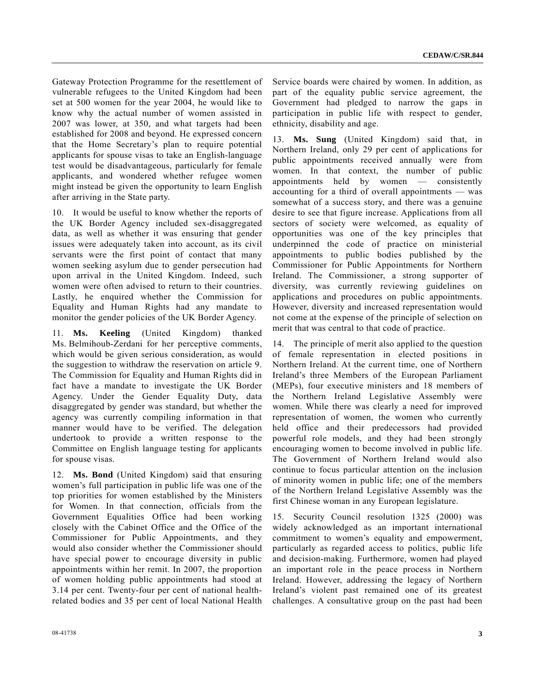Gateway Protection Programme for the resettlement of vulnerable refugees to the United Kingdom had been set at 500 women for the year 2004, he would like to know why the actual number of women assisted in 2007 was lower, at 350, and what targets had been established for 2008 and beyond. He expressed concern that the Home Secretary's plan to require potential applicants for spouse visas to take an English-language test would be disadvantageous, particularly for female applicants, and wondered whether refugee women might instead be given the opportunity to learn English after arriving in the State party.

10. It would be useful to know whether the reports of the UK Border Agency included sex-disaggregated data, as well as whether it was ensuring that gender issues were adequately taken into account, as its civil servants were the first point of contact that many women seeking asylum due to gender persecution had upon arrival in the United Kingdom. Indeed, such women were often advised to return to their countries. Lastly, he enquired whether the Commission for Equality and Human Rights had any mandate to monitor the gender policies of the UK Border Agency.

11. **Ms. Keeling** (United Kingdom) thanked Ms. Belmihoub-Zerdani for her perceptive comments, which would be given serious consideration, as would the suggestion to withdraw the reservation on article 9. The Commission for Equality and Human Rights did in fact have a mandate to investigate the UK Border Agency. Under the Gender Equality Duty, data disaggregated by gender was standard, but whether the agency was currently compiling information in that manner would have to be verified. The delegation undertook to provide a written response to the Committee on English language testing for applicants for spouse visas.

12. **Ms. Bond** (United Kingdom) said that ensuring women's full participation in public life was one of the top priorities for women established by the Ministers for Women. In that connection, officials from the Government Equalities Office had been working closely with the Cabinet Office and the Office of the Commissioner for Public Appointments, and they would also consider whether the Commissioner should have special power to encourage diversity in public appointments within her remit. In 2007, the proportion of women holding public appointments had stood at 3.14 per cent. Twenty-four per cent of national healthrelated bodies and 35 per cent of local National Health

Service boards were chaired by women. In addition, as part of the equality public service agreement, the Government had pledged to narrow the gaps in participation in public life with respect to gender, ethnicity, disability and age.

13. **Ms. Sung** (United Kingdom) said that, in Northern Ireland, only 29 per cent of applications for public appointments received annually were from women. In that context, the number of public appointments held by women — consistently accounting for a third of overall appointments — was somewhat of a success story, and there was a genuine desire to see that figure increase. Applications from all sectors of society were welcomed, as equality of opportunities was one of the key principles that underpinned the code of practice on ministerial appointments to public bodies published by the Commissioner for Public Appointments for Northern Ireland. The Commissioner, a strong supporter of diversity, was currently reviewing guidelines on applications and procedures on public appointments. However, diversity and increased representation would not come at the expense of the principle of selection on merit that was central to that code of practice.

14. The principle of merit also applied to the question of female representation in elected positions in Northern Ireland. At the current time, one of Northern Ireland's three Members of the European Parliament (MEPs), four executive ministers and 18 members of the Northern Ireland Legislative Assembly were women. While there was clearly a need for improved representation of women, the women who currently held office and their predecessors had provided powerful role models, and they had been strongly encouraging women to become involved in public life. The Government of Northern Ireland would also continue to focus particular attention on the inclusion of minority women in public life; one of the members of the Northern Ireland Legislative Assembly was the first Chinese woman in any European legislature.

15. Security Council resolution 1325 (2000) was widely acknowledged as an important international commitment to women's equality and empowerment, particularly as regarded access to politics, public life and decision-making. Furthermore, women had played an important role in the peace process in Northern Ireland. However, addressing the legacy of Northern Ireland's violent past remained one of its greatest challenges. A consultative group on the past had been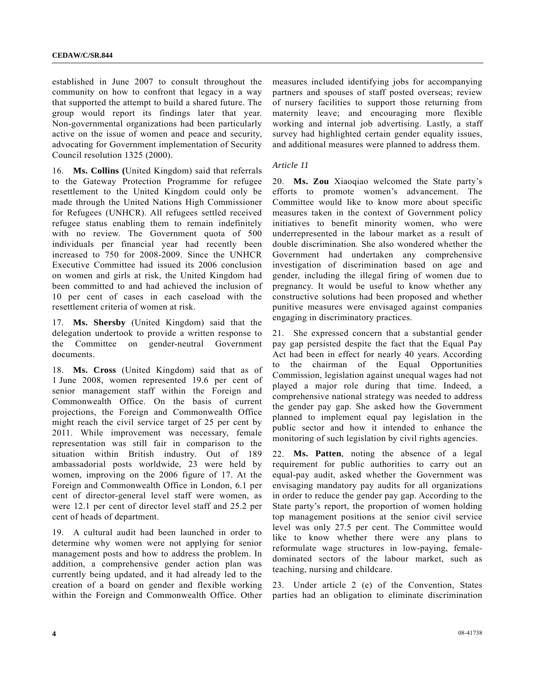established in June 2007 to consult throughout the community on how to confront that legacy in a way that supported the attempt to build a shared future. The group would report its findings later that year. Non-governmental organizations had been particularly active on the issue of women and peace and security, advocating for Government implementation of Security Council resolution 1325 (2000).

16. **Ms. Collins (**United Kingdom) said that referrals to the Gateway Protection Programme for refugee resettlement to the United Kingdom could only be made through the United Nations High Commissioner for Refugees (UNHCR). All refugees settled received refugee status enabling them to remain indefinitely with no review. The Government quota of 500 individuals per financial year had recently been increased to 750 for 2008-2009. Since the UNHCR Executive Committee had issued its 2006 conclusion on women and girls at risk, the United Kingdom had been committed to and had achieved the inclusion of 10 per cent of cases in each caseload with the resettlement criteria of women at risk.

17. **Ms. Shersby** (United Kingdom) said that the delegation undertook to provide a written response to the Committee on gender-neutral Government documents.

18. **Ms. Cross** (United Kingdom) said that as of 1 June 2008, women represented 19.6 per cent of senior management staff within the Foreign and Commonwealth Office. On the basis of current projections, the Foreign and Commonwealth Office might reach the civil service target of 25 per cent by 2011. While improvement was necessary, female representation was still fair in comparison to the situation within British industry. Out of 189 ambassadorial posts worldwide, 23 were held by women, improving on the 2006 figure of 17. At the Foreign and Commonwealth Office in London, 6.1 per cent of director-general level staff were women, as were 12.1 per cent of director level staff and 25.2 per cent of heads of department.

19. A cultural audit had been launched in order to determine why women were not applying for senior management posts and how to address the problem. In addition, a comprehensive gender action plan was currently being updated, and it had already led to the creation of a board on gender and flexible working within the Foreign and Commonwealth Office. Other

measures included identifying jobs for accompanying partners and spouses of staff posted overseas; review of nursery facilities to support those returning from maternity leave; and encouraging more flexible working and internal job advertising. Lastly, a staff survey had highlighted certain gender equality issues, and additional measures were planned to address them.

#### *Article 11*

20. **Ms. Zou** Xiaoqiao welcomed the State party's efforts to promote women's advancement. The Committee would like to know more about specific measures taken in the context of Government policy initiatives to benefit minority women, who were underrepresented in the labour market as a result of double discrimination. She also wondered whether the Government had undertaken any comprehensive investigation of discrimination based on age and gender, including the illegal firing of women due to pregnancy. It would be useful to know whether any constructive solutions had been proposed and whether punitive measures were envisaged against companies engaging in discriminatory practices.

21. She expressed concern that a substantial gender pay gap persisted despite the fact that the Equal Pay Act had been in effect for nearly 40 years. According to the chairman of the Equal Opportunities Commission, legislation against unequal wages had not played a major role during that time. Indeed, a comprehensive national strategy was needed to address the gender pay gap. She asked how the Government planned to implement equal pay legislation in the public sector and how it intended to enhance the monitoring of such legislation by civil rights agencies.

22. **Ms. Patten**, noting the absence of a legal requirement for public authorities to carry out an equal-pay audit, asked whether the Government was envisaging mandatory pay audits for all organizations in order to reduce the gender pay gap. According to the State party's report, the proportion of women holding top management positions at the senior civil service level was only 27.5 per cent. The Committee would like to know whether there were any plans to reformulate wage structures in low-paying, femaledominated sectors of the labour market, such as teaching, nursing and childcare.

23. Under article 2 (e) of the Convention, States parties had an obligation to eliminate discrimination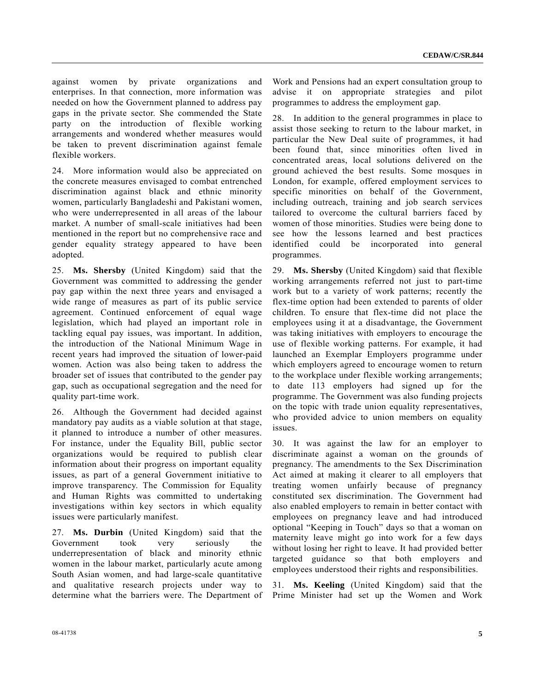against women by private organizations and enterprises. In that connection, more information was needed on how the Government planned to address pay gaps in the private sector. She commended the State party on the introduction of flexible working arrangements and wondered whether measures would be taken to prevent discrimination against female flexible workers.

24. More information would also be appreciated on the concrete measures envisaged to combat entrenched discrimination against black and ethnic minority women, particularly Bangladeshi and Pakistani women, who were underrepresented in all areas of the labour market. A number of small-scale initiatives had been mentioned in the report but no comprehensive race and gender equality strategy appeared to have been adopted.

25. **Ms. Shersby** (United Kingdom) said that the Government was committed to addressing the gender pay gap within the next three years and envisaged a wide range of measures as part of its public service agreement. Continued enforcement of equal wage legislation, which had played an important role in tackling equal pay issues, was important. In addition, the introduction of the National Minimum Wage in recent years had improved the situation of lower-paid women. Action was also being taken to address the broader set of issues that contributed to the gender pay gap, such as occupational segregation and the need for quality part-time work.

26. Although the Government had decided against mandatory pay audits as a viable solution at that stage, it planned to introduce a number of other measures. For instance, under the Equality Bill, public sector organizations would be required to publish clear information about their progress on important equality issues, as part of a general Government initiative to improve transparency. The Commission for Equality and Human Rights was committed to undertaking investigations within key sectors in which equality issues were particularly manifest.

27. **Ms. Durbin** (United Kingdom) said that the Government took very seriously the underrepresentation of black and minority ethnic women in the labour market, particularly acute among South Asian women, and had large-scale quantitative and qualitative research projects under way to determine what the barriers were. The Department of

Work and Pensions had an expert consultation group to advise it on appropriate strategies and pilot programmes to address the employment gap.

28. In addition to the general programmes in place to assist those seeking to return to the labour market, in particular the New Deal suite of programmes, it had been found that, since minorities often lived in concentrated areas, local solutions delivered on the ground achieved the best results. Some mosques in London, for example, offered employment services to specific minorities on behalf of the Government, including outreach, training and job search services tailored to overcome the cultural barriers faced by women of those minorities. Studies were being done to see how the lessons learned and best practices identified could be incorporated into general programmes.

29. **Ms. Shersby** (United Kingdom) said that flexible working arrangements referred not just to part-time work but to a variety of work patterns; recently the flex-time option had been extended to parents of older children. To ensure that flex-time did not place the employees using it at a disadvantage, the Government was taking initiatives with employers to encourage the use of flexible working patterns. For example, it had launched an Exemplar Employers programme under which employers agreed to encourage women to return to the workplace under flexible working arrangements; to date 113 employers had signed up for the programme. The Government was also funding projects on the topic with trade union equality representatives, who provided advice to union members on equality issues.

30. It was against the law for an employer to discriminate against a woman on the grounds of pregnancy. The amendments to the Sex Discrimination Act aimed at making it clearer to all employers that treating women unfairly because of pregnancy constituted sex discrimination. The Government had also enabled employers to remain in better contact with employees on pregnancy leave and had introduced optional "Keeping in Touch" days so that a woman on maternity leave might go into work for a few days without losing her right to leave. It had provided better targeted guidance so that both employers and employees understood their rights and responsibilities.

31. **Ms. Keeling** (United Kingdom) said that the Prime Minister had set up the Women and Work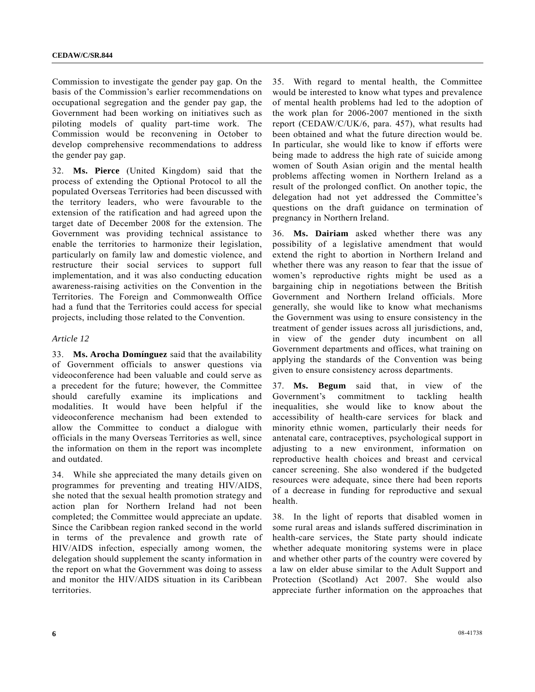Commission to investigate the gender pay gap. On the basis of the Commission's earlier recommendations on occupational segregation and the gender pay gap, the Government had been working on initiatives such as piloting models of quality part-time work. The Commission would be reconvening in October to develop comprehensive recommendations to address the gender pay gap.

32. **Ms. Pierce** (United Kingdom) said that the process of extending the Optional Protocol to all the populated Overseas Territories had been discussed with the territory leaders, who were favourable to the extension of the ratification and had agreed upon the target date of December 2008 for the extension. The Government was providing technical assistance to enable the territories to harmonize their legislation, particularly on family law and domestic violence, and restructure their social services to support full implementation, and it was also conducting education awareness-raising activities on the Convention in the Territories. The Foreign and Commonwealth Office had a fund that the Territories could access for special projects, including those related to the Convention.

#### *Article 12*

33. **Ms. Arocha Domínguez** said that the availability of Government officials to answer questions via videoconference had been valuable and could serve as a precedent for the future; however, the Committee should carefully examine its implications and modalities. It would have been helpful if the videoconference mechanism had been extended to allow the Committee to conduct a dialogue with officials in the many Overseas Territories as well, since the information on them in the report was incomplete and outdated.

34. While she appreciated the many details given on programmes for preventing and treating HIV/AIDS, she noted that the sexual health promotion strategy and action plan for Northern Ireland had not been completed; the Committee would appreciate an update. Since the Caribbean region ranked second in the world in terms of the prevalence and growth rate of HIV/AIDS infection, especially among women, the delegation should supplement the scanty information in the report on what the Government was doing to assess and monitor the HIV/AIDS situation in its Caribbean territories.

35. With regard to mental health, the Committee would be interested to know what types and prevalence of mental health problems had led to the adoption of the work plan for 2006-2007 mentioned in the sixth report (CEDAW/C/UK/6, para. 457), what results had been obtained and what the future direction would be. In particular, she would like to know if efforts were being made to address the high rate of suicide among women of South Asian origin and the mental health problems affecting women in Northern Ireland as a result of the prolonged conflict. On another topic, the delegation had not yet addressed the Committee's questions on the draft guidance on termination of pregnancy in Northern Ireland.

36. **Ms. Dairiam** asked whether there was any possibility of a legislative amendment that would extend the right to abortion in Northern Ireland and whether there was any reason to fear that the issue of women's reproductive rights might be used as a bargaining chip in negotiations between the British Government and Northern Ireland officials. More generally, she would like to know what mechanisms the Government was using to ensure consistency in the treatment of gender issues across all jurisdictions, and, in view of the gender duty incumbent on all Government departments and offices, what training on applying the standards of the Convention was being given to ensure consistency across departments.

37. **Ms. Begum** said that, in view of the Government's commitment to tackling health inequalities, she would like to know about the accessibility of health-care services for black and minority ethnic women, particularly their needs for antenatal care, contraceptives, psychological support in adjusting to a new environment, information on reproductive health choices and breast and cervical cancer screening. She also wondered if the budgeted resources were adequate, since there had been reports of a decrease in funding for reproductive and sexual health.

38. In the light of reports that disabled women in some rural areas and islands suffered discrimination in health-care services, the State party should indicate whether adequate monitoring systems were in place and whether other parts of the country were covered by a law on elder abuse similar to the Adult Support and Protection (Scotland) Act 2007. She would also appreciate further information on the approaches that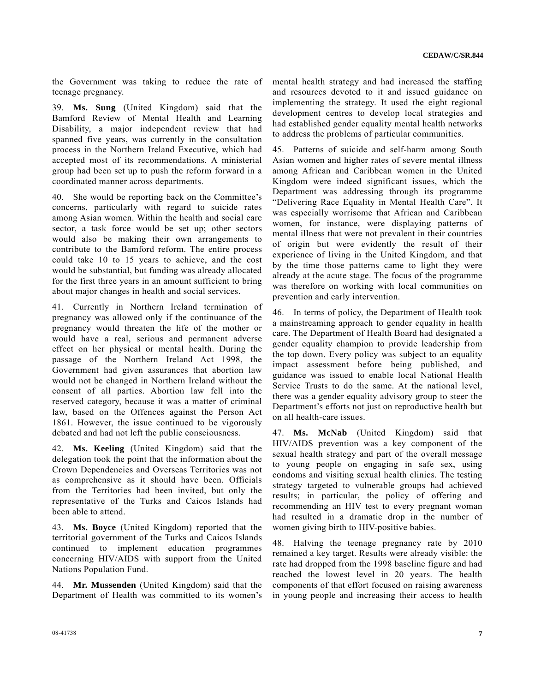the Government was taking to reduce the rate of teenage pregnancy.

39. **Ms. Sung** (United Kingdom) said that the Bamford Review of Mental Health and Learning Disability, a major independent review that had spanned five years, was currently in the consultation process in the Northern Ireland Executive, which had accepted most of its recommendations. A ministerial group had been set up to push the reform forward in a coordinated manner across departments.

40. She would be reporting back on the Committee's concerns, particularly with regard to suicide rates among Asian women. Within the health and social care sector, a task force would be set up; other sectors would also be making their own arrangements to contribute to the Bamford reform. The entire process could take 10 to 15 years to achieve, and the cost would be substantial, but funding was already allocated for the first three years in an amount sufficient to bring about major changes in health and social services.

41. Currently in Northern Ireland termination of pregnancy was allowed only if the continuance of the pregnancy would threaten the life of the mother or would have a real, serious and permanent adverse effect on her physical or mental health. During the passage of the Northern Ireland Act 1998, the Government had given assurances that abortion law would not be changed in Northern Ireland without the consent of all parties. Abortion law fell into the reserved category, because it was a matter of criminal law, based on the Offences against the Person Act 1861. However, the issue continued to be vigorously debated and had not left the public consciousness.

42. **Ms. Keeling** (United Kingdom) said that the delegation took the point that the information about the Crown Dependencies and Overseas Territories was not as comprehensive as it should have been. Officials from the Territories had been invited, but only the representative of the Turks and Caicos Islands had been able to attend.

43. **Ms. Boyce** (United Kingdom) reported that the territorial government of the Turks and Caicos Islands continued to implement education programmes concerning HIV/AIDS with support from the United Nations Population Fund.

44. **Mr. Mussenden** (United Kingdom) said that the Department of Health was committed to its women's mental health strategy and had increased the staffing and resources devoted to it and issued guidance on implementing the strategy. It used the eight regional development centres to develop local strategies and had established gender equality mental health networks to address the problems of particular communities.

45. Patterns of suicide and self-harm among South Asian women and higher rates of severe mental illness among African and Caribbean women in the United Kingdom were indeed significant issues, which the Department was addressing through its programme "Delivering Race Equality in Mental Health Care". It was especially worrisome that African and Caribbean women, for instance, were displaying patterns of mental illness that were not prevalent in their countries of origin but were evidently the result of their experience of living in the United Kingdom, and that by the time those patterns came to light they were already at the acute stage. The focus of the programme was therefore on working with local communities on prevention and early intervention.

46. In terms of policy, the Department of Health took a mainstreaming approach to gender equality in health care. The Department of Health Board had designated a gender equality champion to provide leadership from the top down. Every policy was subject to an equality impact assessment before being published, and guidance was issued to enable local National Health Service Trusts to do the same. At the national level, there was a gender equality advisory group to steer the Department's efforts not just on reproductive health but on all health-care issues.

47. **Ms. McNab** (United Kingdom) said that HIV/AIDS prevention was a key component of the sexual health strategy and part of the overall message to young people on engaging in safe sex, using condoms and visiting sexual health clinics. The testing strategy targeted to vulnerable groups had achieved results; in particular, the policy of offering and recommending an HIV test to every pregnant woman had resulted in a dramatic drop in the number of women giving birth to HIV-positive babies.

48. Halving the teenage pregnancy rate by 2010 remained a key target. Results were already visible: the rate had dropped from the 1998 baseline figure and had reached the lowest level in 20 years. The health components of that effort focused on raising awareness in young people and increasing their access to health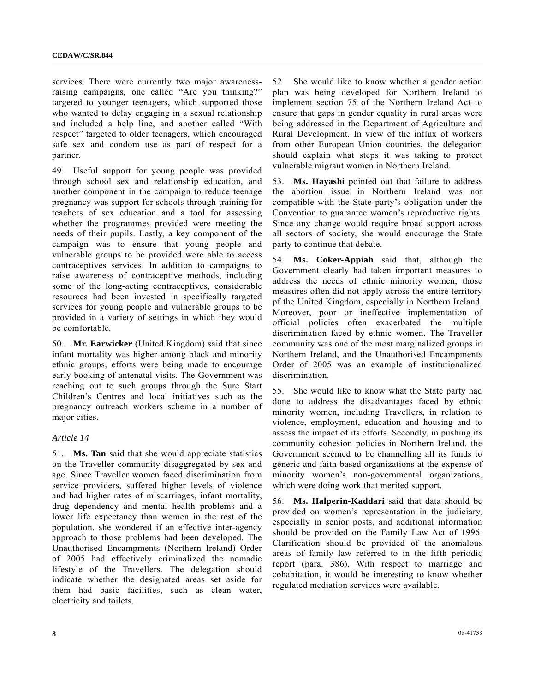services. There were currently two major awarenessraising campaigns, one called "Are you thinking?" targeted to younger teenagers, which supported those who wanted to delay engaging in a sexual relationship and included a help line, and another called "With respect" targeted to older teenagers, which encouraged safe sex and condom use as part of respect for a partner.

49. Useful support for young people was provided through school sex and relationship education, and another component in the campaign to reduce teenage pregnancy was support for schools through training for teachers of sex education and a tool for assessing whether the programmes provided were meeting the needs of their pupils. Lastly, a key component of the campaign was to ensure that young people and vulnerable groups to be provided were able to access contraceptives services. In addition to campaigns to raise awareness of contraceptive methods, including some of the long-acting contraceptives, considerable resources had been invested in specifically targeted services for young people and vulnerable groups to be provided in a variety of settings in which they would be comfortable.

50. **Mr. Earwicker** (United Kingdom) said that since infant mortality was higher among black and minority ethnic groups, efforts were being made to encourage early booking of antenatal visits. The Government was reaching out to such groups through the Sure Start Children's Centres and local initiatives such as the pregnancy outreach workers scheme in a number of major cities.

#### *Article 14*

51. **Ms. Tan** said that she would appreciate statistics on the Traveller community disaggregated by sex and age. Since Traveller women faced discrimination from service providers, suffered higher levels of violence and had higher rates of miscarriages, infant mortality, drug dependency and mental health problems and a lower life expectancy than women in the rest of the population, she wondered if an effective inter-agency approach to those problems had been developed. The Unauthorised Encampments (Northern Ireland) Order of 2005 had effectively criminalized the nomadic lifestyle of the Travellers. The delegation should indicate whether the designated areas set aside for them had basic facilities, such as clean water, electricity and toilets.

52. She would like to know whether a gender action plan was being developed for Northern Ireland to implement section 75 of the Northern Ireland Act to ensure that gaps in gender equality in rural areas were being addressed in the Department of Agriculture and Rural Development. In view of the influx of workers from other European Union countries, the delegation should explain what steps it was taking to protect vulnerable migrant women in Northern Ireland.

53. **Ms. Hayashi** pointed out that failure to address the abortion issue in Northern Ireland was not compatible with the State party's obligation under the Convention to guarantee women's reproductive rights. Since any change would require broad support across all sectors of society, she would encourage the State party to continue that debate.

54. **Ms. Coker-Appiah** said that, although the Government clearly had taken important measures to address the needs of ethnic minority women, those measures often did not apply across the entire territory pf the United Kingdom, especially in Northern Ireland. Moreover, poor or ineffective implementation of official policies often exacerbated the multiple discrimination faced by ethnic women. The Traveller community was one of the most marginalized groups in Northern Ireland, and the Unauthorised Encampments Order of 2005 was an example of institutionalized discrimination.

55. She would like to know what the State party had done to address the disadvantages faced by ethnic minority women, including Travellers, in relation to violence, employment, education and housing and to assess the impact of its efforts. Secondly, in pushing its community cohesion policies in Northern Ireland, the Government seemed to be channelling all its funds to generic and faith-based organizations at the expense of minority women's non-governmental organizations, which were doing work that merited support.

56. **Ms. Halperin-Kaddari** said that data should be provided on women's representation in the judiciary, especially in senior posts, and additional information should be provided on the Family Law Act of 1996. Clarification should be provided of the anomalous areas of family law referred to in the fifth periodic report (para. 386). With respect to marriage and cohabitation, it would be interesting to know whether regulated mediation services were available.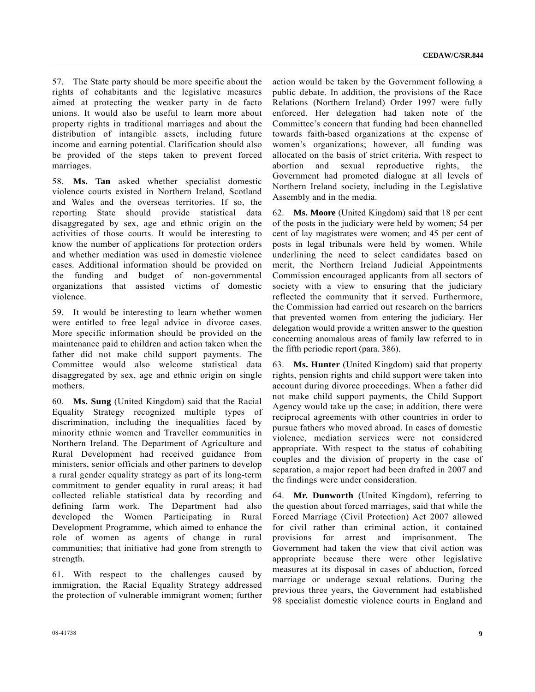57. The State party should be more specific about the rights of cohabitants and the legislative measures aimed at protecting the weaker party in de facto unions. It would also be useful to learn more about property rights in traditional marriages and about the distribution of intangible assets, including future income and earning potential. Clarification should also be provided of the steps taken to prevent forced marriages.

58. **Ms. Tan** asked whether specialist domestic violence courts existed in Northern Ireland, Scotland and Wales and the overseas territories. If so, the reporting State should provide statistical data disaggregated by sex, age and ethnic origin on the activities of those courts. It would be interesting to know the number of applications for protection orders and whether mediation was used in domestic violence cases. Additional information should be provided on the funding and budget of non-governmental organizations that assisted victims of domestic violence.

59. It would be interesting to learn whether women were entitled to free legal advice in divorce cases. More specific information should be provided on the maintenance paid to children and action taken when the father did not make child support payments. The Committee would also welcome statistical data disaggregated by sex, age and ethnic origin on single mothers.

60. **Ms. Sung** (United Kingdom) said that the Racial Equality Strategy recognized multiple types of discrimination, including the inequalities faced by minority ethnic women and Traveller communities in Northern Ireland. The Department of Agriculture and Rural Development had received guidance from ministers, senior officials and other partners to develop a rural gender equality strategy as part of its long-term commitment to gender equality in rural areas; it had collected reliable statistical data by recording and defining farm work. The Department had also developed the Women Participating in Rural Development Programme, which aimed to enhance the role of women as agents of change in rural communities; that initiative had gone from strength to strength.

61. With respect to the challenges caused by immigration, the Racial Equality Strategy addressed the protection of vulnerable immigrant women; further

action would be taken by the Government following a public debate. In addition, the provisions of the Race Relations (Northern Ireland) Order 1997 were fully enforced. Her delegation had taken note of the Committee's concern that funding had been channelled towards faith-based organizations at the expense of women's organizations; however, all funding was allocated on the basis of strict criteria. With respect to abortion and sexual reproductive rights, the Government had promoted dialogue at all levels of Northern Ireland society, including in the Legislative Assembly and in the media.

62. **Ms. Moore** (United Kingdom) said that 18 per cent of the posts in the judiciary were held by women; 54 per cent of lay magistrates were women; and 45 per cent of posts in legal tribunals were held by women. While underlining the need to select candidates based on merit, the Northern Ireland Judicial Appointments Commission encouraged applicants from all sectors of society with a view to ensuring that the judiciary reflected the community that it served. Furthermore, the Commission had carried out research on the barriers that prevented women from entering the judiciary. Her delegation would provide a written answer to the question concerning anomalous areas of family law referred to in the fifth periodic report (para. 386).

63. **Ms. Hunter** (United Kingdom) said that property rights, pension rights and child support were taken into account during divorce proceedings. When a father did not make child support payments, the Child Support Agency would take up the case; in addition, there were reciprocal agreements with other countries in order to pursue fathers who moved abroad. In cases of domestic violence, mediation services were not considered appropriate. With respect to the status of cohabiting couples and the division of property in the case of separation, a major report had been drafted in 2007 and the findings were under consideration.

64. **Mr. Dunworth** (United Kingdom), referring to the question about forced marriages, said that while the Forced Marriage (Civil Protection) Act 2007 allowed for civil rather than criminal action, it contained provisions for arrest and imprisonment. The Government had taken the view that civil action was appropriate because there were other legislative measures at its disposal in cases of abduction, forced marriage or underage sexual relations. During the previous three years, the Government had established 98 specialist domestic violence courts in England and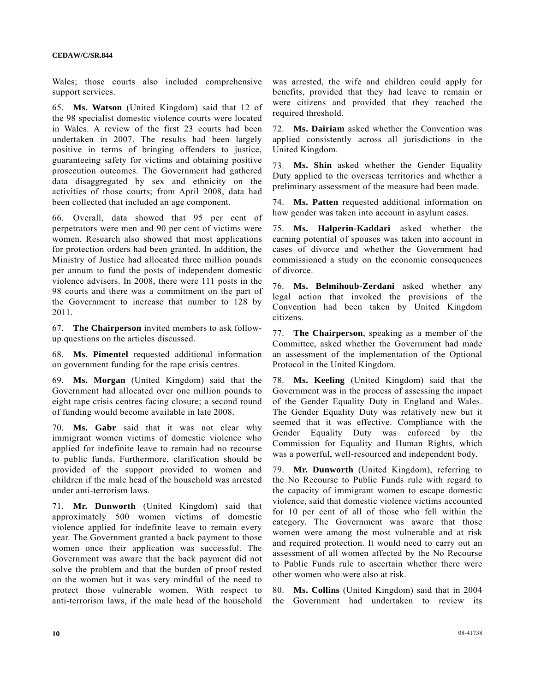Wales; those courts also included comprehensive support services.

65. **Ms. Watson** (United Kingdom) said that 12 of the 98 specialist domestic violence courts were located in Wales. A review of the first 23 courts had been undertaken in 2007. The results had been largely positive in terms of bringing offenders to justice, guaranteeing safety for victims and obtaining positive prosecution outcomes. The Government had gathered data disaggregated by sex and ethnicity on the activities of those courts; from April 2008, data had been collected that included an age component.

66. Overall, data showed that 95 per cent of perpetrators were men and 90 per cent of victims were women. Research also showed that most applications for protection orders had been granted. In addition, the Ministry of Justice had allocated three million pounds per annum to fund the posts of independent domestic violence advisers. In 2008, there were 111 posts in the 98 courts and there was a commitment on the part of the Government to increase that number to 128 by 2011.

67. **The Chairperson** invited members to ask followup questions on the articles discussed.

68. **Ms. Pimentel** requested additional information on government funding for the rape crisis centres.

69. **Ms. Morgan** (United Kingdom) said that the Government had allocated over one million pounds to eight rape crisis centres facing closure; a second round of funding would become available in late 2008.

70. **Ms. Gabr** said that it was not clear why immigrant women victims of domestic violence who applied for indefinite leave to remain had no recourse to public funds. Furthermore, clarification should be provided of the support provided to women and children if the male head of the household was arrested under anti-terrorism laws.

71. **Mr. Dunworth** (United Kingdom) said that approximately 500 women victims of domestic violence applied for indefinite leave to remain every year. The Government granted a back payment to those women once their application was successful. The Government was aware that the back payment did not solve the problem and that the burden of proof rested on the women but it was very mindful of the need to protect those vulnerable women. With respect to anti-terrorism laws, if the male head of the household

was arrested, the wife and children could apply for benefits, provided that they had leave to remain or were citizens and provided that they reached the required threshold.

72. **Ms. Dairiam** asked whether the Convention was applied consistently across all jurisdictions in the United Kingdom.

73. **Ms. Shin** asked whether the Gender Equality Duty applied to the overseas territories and whether a preliminary assessment of the measure had been made.

74. **Ms. Patten** requested additional information on how gender was taken into account in asylum cases.

75. **Ms. Halperin-Kaddari** asked whether the earning potential of spouses was taken into account in cases of divorce and whether the Government had commissioned a study on the economic consequences of divorce.

76. **Ms. Belmihoub-Zerdani** asked whether any legal action that invoked the provisions of the Convention had been taken by United Kingdom citizens.

77. **The Chairperson**, speaking as a member of the Committee, asked whether the Government had made an assessment of the implementation of the Optional Protocol in the United Kingdom.

78. **Ms. Keeling** (United Kingdom) said that the Government was in the process of assessing the impact of the Gender Equality Duty in England and Wales. The Gender Equality Duty was relatively new but it seemed that it was effective. Compliance with the Gender Equality Duty was enforced by the Commission for Equality and Human Rights, which was a powerful, well-resourced and independent body.

79. **Mr. Dunworth** (United Kingdom), referring to the No Recourse to Public Funds rule with regard to the capacity of immigrant women to escape domestic violence, said that domestic violence victims accounted for 10 per cent of all of those who fell within the category. The Government was aware that those women were among the most vulnerable and at risk and required protection. It would need to carry out an assessment of all women affected by the No Recourse to Public Funds rule to ascertain whether there were other women who were also at risk.

80. **Ms. Collins** (United Kingdom) said that in 2004 the Government had undertaken to review its